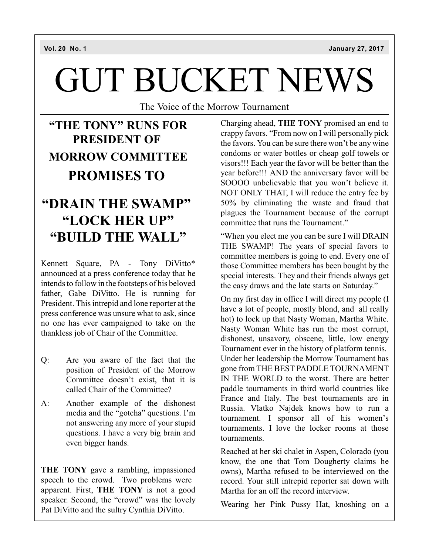# GUT BUCKET NEWS

The Voice of the Morrow Tournament

# **"THE TONY" RUNS FOR PRESIDENT OF MORROW COMMITTEE PROMISES TO**

# **"DRAIN THE SWAMP" "LOCK HER UP" "BUILD THE WALL"**

Kennett Square, PA - Tony DiVitto\* announced at a press conference today that he intends to follow in the footsteps of his beloved father, Gabe DiVitto. He is running for President. This intrepid and lone reporter at the press conference was unsure what to ask, since no one has ever campaigned to take on the thankless job of Chair of the Committee.

- Q: Are you aware of the fact that the position of President of the Morrow Committee doesn't exist, that it is called Chair of the Committee?
- A: Another example of the dishonest media and the "gotcha" questions. I'm not answering any more of your stupid questions. I have a very big brain and even bigger hands.

**THE TONY** gave a rambling, impassioned speech to the crowd. Two problems were apparent. First, **THE TONY** is not a good speaker. Second, the "crowd" was the lovely Pat DiVitto and the sultry Cynthia DiVitto.

Charging ahead, **THE TONY** promised an end to crappy favors. "From now on I will personally pick the favors. You can be sure there won't be any wine condoms or water bottles or cheap golf towels or visors!!! Each year the favor will be better than the year before!!! AND the anniversary favor will be SOOOO unbelievable that you won't believe it. NOT ONLY THAT, I will reduce the entry fee by 50% by eliminating the waste and fraud that plagues the Tournament because of the corrupt committee that runs the Tournament."

"When you elect me you can be sure I will DRAIN THE SWAMP! The years of special favors to committee members is going to end. Every one of those Committee members has been bought by the special interests. They and their friends always get the easy draws and the late starts on Saturday."

On my first day in office I will direct my people (I have a lot of people, mostly blond, and all really hot) to lock up that Nasty Woman, Martha White. Nasty Woman White has run the most corrupt, dishonest, unsavory, obscene, little, low energy Tournament ever in the history of platform tennis. Under her leadership the Morrow Tournament has gone from THE BEST PADDLE TOURNAMENT IN THE WORLD to the worst. There are better paddle tournaments in third world countries like France and Italy. The best tournaments are in Russia. Vlatko Najdek knows how to run a tournament. I sponsor all of his women's tournaments. I love the locker rooms at those tournaments.

Reached at her ski chalet in Aspen, Colorado (you know, the one that Tom Dougherty claims he owns), Martha refused to be interviewed on the record. Your still intrepid reporter sat down with Martha for an off the record interview.

Wearing her Pink Pussy Hat, knoshing on a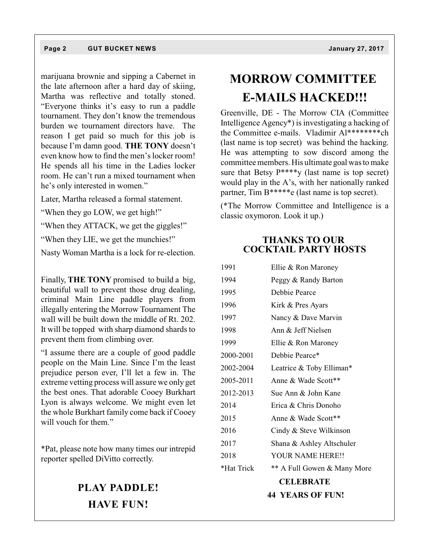#### **Page 2 GUT BUCKET NEWS January 27, 2017**

marijuana brownie and sipping a Cabernet in the late afternoon after a hard day of skiing, Martha was reflective and totally stoned. "Everyone thinks it's easy to run a paddle tournament. They don't know the tremendous burden we tournament directors have. The reason I get paid so much for this job is because I'm damn good. **THE TONY** doesn't even know how to find the men's locker room! He spends all his time in the Ladies locker room. He can't run a mixed tournament when he's only interested in women."

Later, Martha released a formal statement.

"When they go LOW, we get high!"

"When they ATTACK, we get the giggles!"

"When they LIE, we get the munchies!"

Nasty Woman Martha is a lock for re-election.

Finally, **THE TONY** promised to build a big, beautiful wall to prevent those drug dealing, criminal Main Line paddle players from illegally entering the Morrow Tournament The wall will be built down the middle of Rt. 202. It will be topped with sharp diamond shards to prevent them from climbing over.

"I assume there are a couple of good paddle people on the Main Line. Since I'm the least prejudice person ever, I'll let a few in. The extreme vetting process will assure we only get the best ones. That adorable Cooey Burkhart Lyon is always welcome. We might even let the whole Burkhart family come back if Cooey will vouch for them."

\*Pat, please note how many times our intrepid reporter spelled DiVitto correctly.

## **PLAY PADDLE! HAVE FUN!**

# **MORROW COMMITTEE E-MAILS HACKED!!!**

Greenville, DE - The Morrow CIA (Committee Intelligence Agency\*) is investigating a hacking of the Committee e-mails. Vladimir Al\*\*\*\*\*\*\*\*ch (last name is top secret) was behind the hacking. He was attempting to sow discord among the committee members. His ultimate goal was to make sure that Betsy  $P^{***}$ y (last name is top secret) would play in the A's, with her nationally ranked partner, Tim B\*\*\*\*\*e (last name is top secret).

(\*The Morrow Committee and Intelligence is a classic oxymoron. Look it up.)

### **THANKS TO OUR COCKTAIL PARTY HOSTS**

| 1991       | Ellie & Ron Maroney         |  |  |
|------------|-----------------------------|--|--|
| 1994       | Peggy & Randy Barton        |  |  |
| 1995       | Debbie Pearce               |  |  |
| 1996       | Kirk & Pres Ayars           |  |  |
| 1997       | Nancy & Dave Marvin         |  |  |
| 1998       | Ann & Jeff Nielsen          |  |  |
| 1999       | Ellie & Ron Maroney         |  |  |
| 2000-2001  | Debbie Pearce*              |  |  |
| 2002-2004  | Leatrice & Toby Elliman*    |  |  |
| 2005-2011  | Anne & Wade Scott**         |  |  |
| 2012-2013  | Sue Ann & John Kane         |  |  |
| 2014       | Erica & Chris Donoho        |  |  |
| 2015       | Anne & Wade Scott**         |  |  |
| 2016       | Cindy & Steve Wilkinson     |  |  |
| 2017       | Shana & Ashley Altschuler   |  |  |
| 2018       | YOUR NAME HERE!!            |  |  |
| *Hat Trick | ** A Full Gowen & Many More |  |  |
|            | <b>CELEBRATE</b>            |  |  |
|            | <b>44 YEARS OF FUN!</b>     |  |  |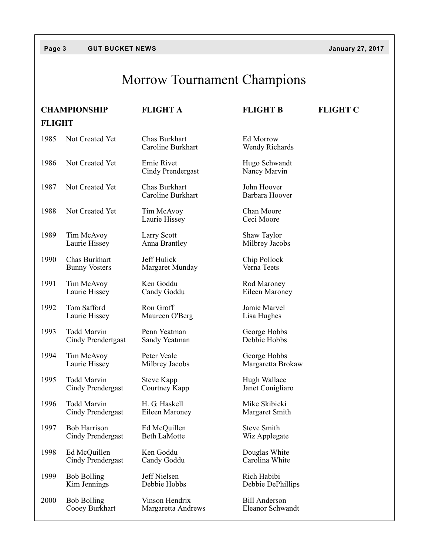## **Page 3 GUT BUCKET NEWS January 27, 2017**

# Morrow Tournament Champions

|               | <b>CHAMPIONSHIP</b>                      | <b>FLIGHT A</b>                         | <b>FLIGHT B</b>                          | <b>FLIGHT C</b> |  |  |
|---------------|------------------------------------------|-----------------------------------------|------------------------------------------|-----------------|--|--|
| <b>FLIGHT</b> |                                          |                                         |                                          |                 |  |  |
| 1985          | Not Created Yet                          | Chas Burkhart<br>Caroline Burkhart      | Ed Morrow<br>Wendy Richards              |                 |  |  |
| 1986          | Not Created Yet                          | Ernie Rivet<br><b>Cindy Prendergast</b> | Hugo Schwandt<br>Nancy Marvin            |                 |  |  |
| 1987          | Not Created Yet                          | Chas Burkhart<br>Caroline Burkhart      | John Hoover<br>Barbara Hoover            |                 |  |  |
| 1988          | Not Created Yet                          | Tim McAvoy<br>Laurie Hissey             | Chan Moore<br>Ceci Moore                 |                 |  |  |
| 1989          | Tim McAvoy<br>Laurie Hissey              | Larry Scott<br>Anna Brantley            | Shaw Taylor<br>Milbrey Jacobs            |                 |  |  |
| 1990          | Chas Burkhart<br><b>Bunny Vosters</b>    | Jeff Hulick<br>Margaret Munday          | Chip Pollock<br>Verna Teets              |                 |  |  |
| 1991          | Tim McAvoy<br>Laurie Hissey              | Ken Goddu<br>Candy Goddu                | Rod Maroney<br>Eileen Maroney            |                 |  |  |
| 1992          | Tom Safford<br>Laurie Hissey             | Ron Groff<br>Maureen O'Berg             | Jamie Marvel<br>Lisa Hughes              |                 |  |  |
| 1993          | <b>Todd Marvin</b><br>Cindy Prendertgast | Penn Yeatman<br>Sandy Yeatman           | George Hobbs<br>Debbie Hobbs             |                 |  |  |
| 1994          | Tim McAvoy<br>Laurie Hissey              | Peter Veale<br>Milbrey Jacobs           | George Hobbs<br>Margaretta Brokaw        |                 |  |  |
| 1995          | <b>Todd Marvin</b><br>Cindy Prendergast  | Steve Kapp<br>Courtney Kapp             | Hugh Wallace<br>Janet Conigliaro         |                 |  |  |
| 1996          | Todd Marvin<br>Cindy Prendergast         | H. G. Haskell<br>Eileen Maroney         | Mike Skibicki<br>Margaret Smith          |                 |  |  |
| 1997          | <b>Bob Harrison</b><br>Cindy Prendergast | Ed McQuillen<br><b>Beth LaMotte</b>     | <b>Steve Smith</b><br>Wiz Applegate      |                 |  |  |
| 1998          | Ed McQuillen<br>Cindy Prendergast        | Ken Goddu<br>Candy Goddu                | Douglas White<br>Carolina White          |                 |  |  |
| 1999          | <b>Bob Bolling</b><br>Kim Jennings       | Jeff Nielsen<br>Debbie Hobbs            | Rich Habibi<br>Debbie DePhillips         |                 |  |  |
| 2000          | <b>Bob Bolling</b><br>Cooey Burkhart     | Vinson Hendrix<br>Margaretta Andrews    | <b>Bill Anderson</b><br>Eleanor Schwandt |                 |  |  |